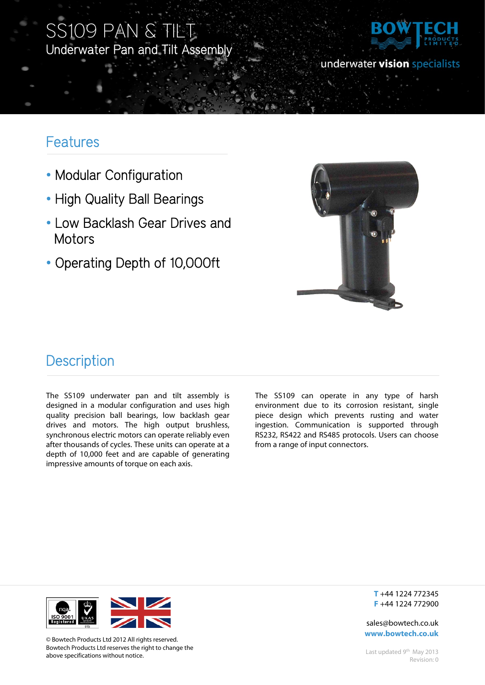## SS109 PAN & TILT Underwater Pan and Tilt Assembly



underwater vision specialists

## Features

Ī

- Modular Configuration
- High Quality Ball Bearings
- Low Backlash Gear Drives and **Motors**
- Operating Depth of 10,000ft



### **Description**

The SS109 underwater pan and tilt assembly is designed in a modular configuration and uses high quality precision ball bearings, low backlash gear drives and motors. The high output brushless, synchronous electric motors can operate reliably even after thousands of cycles. These units can operate at a depth of 10,000 feet and are capable of generating impressive amounts of torque on each axis.

The SS109 can operate in any type of harsh environment due to its corrosion resistant, single piece design which prevents rusting and water ingestion. Communication is supported through RS232, RS422 and RS485 protocols. Users can choose from a range of input connectors.



© Bowtech Products Ltd 2012 All rights reserved. Bowtech Products Ltd reserves the right to change the above specifications without notice.

**T** +44 1224 772345 **F** +44 1224 772900

sales@bowtech.co.uk **www.bowtech.co.uk**

Last updated 9<sup>th</sup> May 2013 Revision: 0